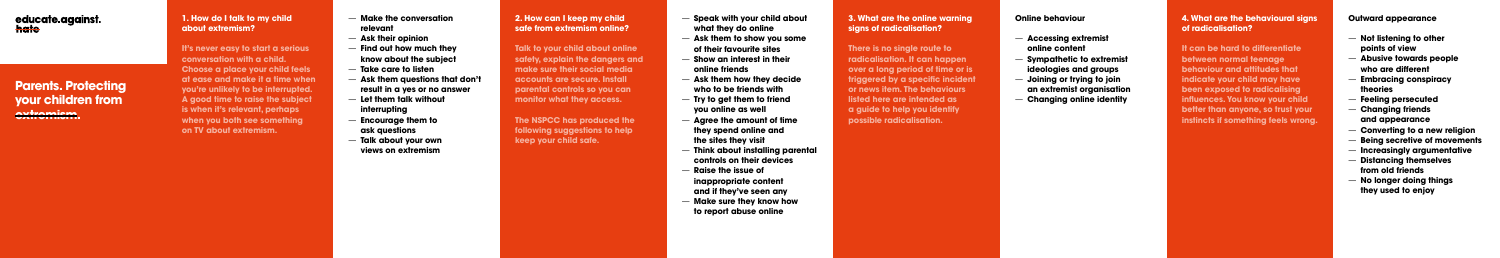## **1. How do I talk to my child about extremism?**

**It's never easy to start a serious conversation with a child. Choose a place your child feels at ease and make it a time when you're unlikely to be interrupted. A good time to raise the subject is when it's relevant, perhaps when you both see something on TV about extremism.** 

- **Make the conversation relevant**
- **Ask their opinion**
- **Find out how much they know about the subject**
- **Take care to listen**
- **Ask them questions that don't result in a yes or no answer**
- **Let them talk without interrupting**
- **Encourage them to ask questions**
- **Talk about your own views on extremism**
- **Speak with your child about what they do online**
- **Ask them to show you some of their favourite sites**
- **Show an interest in their online friends**
- **Ask them how they decide who to be friends with**
- **Try to get them to friend you online as well**
- **Agree the amount of time they spend online and the sites they visit**
- **Think about installing parental controls on their devices**
- **Raise the issue of inappropriate content and if they've seen any**
- **Make sure they know how to report abuse online**

## **2. How can I keep my child safe from extremism online?**

**Talk to your child about online safety, explain the dangers and make sure their social media accounts are secure. Install parental controls so you can monitor what they access.**

**The NSPCC has produced the following suggestions to help keep your child safe.**

#### **3. What are the online warning signs of radicalisation?**

**There is no single route to radicalisation. It can happen over a long period of time or is triggered by a specific incident or news item. The behaviours listed here are intended as a guide to help you identify possible radicalisation.**

# **Online behaviour**

- **Accessing extremist online content**
- **Sympathetic to extremist ideologies and groups**
- **Joining or trying to join an extremist organisation**
- **Changing online identity**



# **Parents. Protecting your children from extremism.**

#### **Outward appearance**

- **Not listening to other points of view**
- **Abusive towards people who are different**
- **Embracing conspiracy theories**
- **Feeling persecuted**
- **Changing friends and appearance**
- **Converting to a new religion**
- **Being secretive of movements**
- **Increasingly argumentative**
- **Distancing themselves from old friends**
- **No longer doing things they used to enjoy**

#### **4. What are the behavioural signs of radicalisation?**

**It can be hard to differentiate between normal teenage behaviour and attitudes that indicate your child may have been exposed to radicalising influences. You know your child better than anyone, so trust your instincts if something feels wrong.**